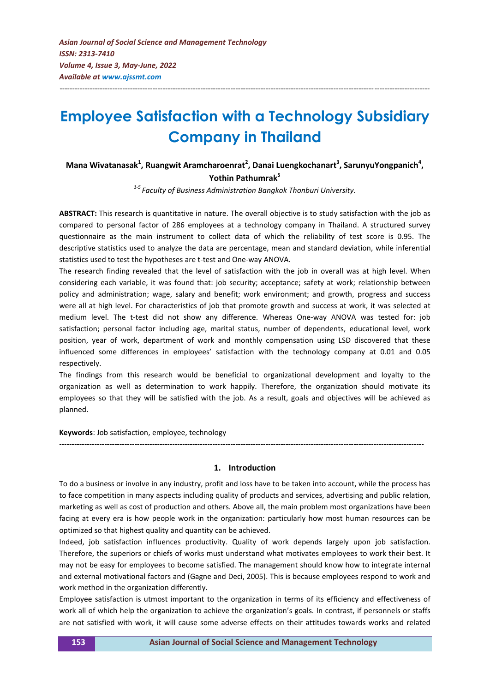# **Employee Satisfaction with a Technology Subsidiary Company in Thailand**

---------------------------------------------------------------------------------------------------------------------------------------------------

# **Mana Wivatanasak<sup>1</sup> , Ruangwit Aramcharoenrat<sup>2</sup> , Danai Luengkochanart<sup>3</sup> , SarunyuYongpanich<sup>4</sup> , Yothin Pathumrak<sup>5</sup>**

*1-5 Faculty of Business Administration Bangkok Thonburi University.*

**ABSTRACT:** This research is quantitative in nature. The overall objective is to study satisfaction with the job as compared to personal factor of 286 employees at a technology company in Thailand. A structured survey questionnaire as the main instrument to collect data of which the reliability of test score is 0.95. The descriptive statistics used to analyze the data are percentage, mean and standard deviation, while inferential statistics used to test the hypotheses are t-test and One-way ANOVA.

The research finding revealed that the level of satisfaction with the job in overall was at high level. When considering each variable, it was found that: job security; acceptance; safety at work; relationship between policy and administration; wage, salary and benefit; work environment; and growth, progress and success were all at high level. For characteristics of job that promote growth and success at work, it was selected at medium level. The t-test did not show any difference. Whereas One-way ANOVA was tested for: job satisfaction; personal factor including age, marital status, number of dependents, educational level, work position, year of work, department of work and monthly compensation using LSD discovered that these influenced some differences in employees' satisfaction with the technology company at 0.01 and 0.05 respectively.

The findings from this research would be beneficial to organizational development and loyalty to the organization as well as determination to work happily. Therefore, the organization should motivate its employees so that they will be satisfied with the job. As a result, goals and objectives will be achieved as planned.

**Keywords**: Job satisfaction, employee, technology

#### **1. Introduction**

*-------------------------------------------------------------------------------------------------------------------------------------------------*

To do a business or involve in any industry, profit and loss have to be taken into account, while the process has to face competition in many aspects including quality of products and services, advertising and public relation, marketing as well as cost of production and others. Above all, the main problem most organizations have been facing at every era is how people work in the organization: particularly how most human resources can be optimized so that highest quality and quantity can be achieved.

Indeed, job satisfaction influences productivity. Quality of work depends largely upon job satisfaction. Therefore, the superiors or chiefs of works must understand what motivates employees to work their best. It may not be easy for employees to become satisfied. The management should know how to integrate internal and external motivational factors and (Gagne and Deci, 2005). This is because employees respond to work and work method in the organization differently.

Employee satisfaction is utmost important to the organization in terms of its efficiency and effectiveness of work all of which help the organization to achieve the organization's goals. In contrast, if personnels or staffs are not satisfied with work, it will cause some adverse effects on their attitudes towards works and related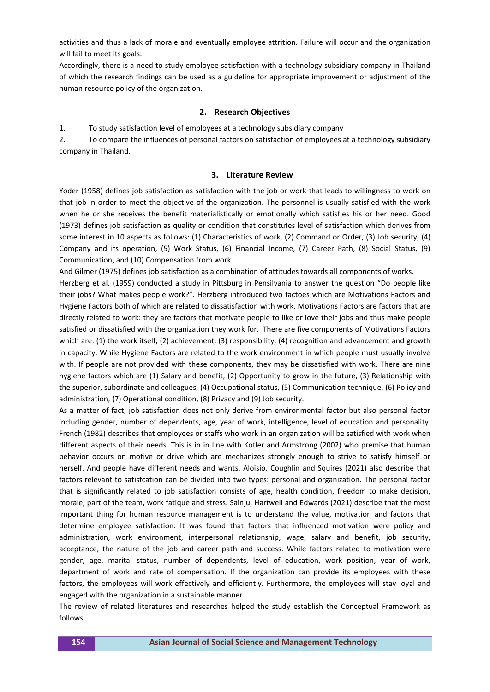activities and thus a lack of morale and eventually employee attrition. Failure will occur and the organization will fail to meet its goals.

Accordingly, there is a need to study employee satisfaction with a technology subsidiary company in Thailand of which the research findings can be used as a guideline for appropriate improvement or adjustment of the human resource policy of the organization.

#### **2. Research Objectives**

1. To study satisfaction level of employees at a technology subsidiary company

2. To compare the influences of personal factors on satisfaction of employees at a technology subsidiary company in Thailand.

#### **3. Literature Review**

Yoder (1958) defines job satisfaction as satisfaction with the job or work that leads to willingness to work on that job in order to meet the objective of the organization. The personnel is usually satisfied with the work when he or she receives the benefit materialistically or emotionally which satisfies his or her need. Good (1973) defines job satisfaction as quality or condition that constitutes level of satisfaction which derives from some interest in 10 aspects as follows: (1) Characteristics of work, (2) Command or Order, (3) Job security, (4) Company and its operation, (5) Work Status, (6) Financial Income, (7) Career Path, (8) Social Status, (9) Communication, and (10) Compensation from work.

And Gilmer (1975) defines job satisfaction as a combination of attitudes towards all components of works.

Herzberg et al. (1959) conducted a study in Pittsburg in Pensilvania to answer the question "Do people like their jobs? What makes people work?". Herzberg introduced two factoes which are Motivations Factors and Hygiene Factors both of which are related to dissatisfaction with work. Motivations Factors are factors that are directly related to work: they are factors that motivate people to like or love their jobs and thus make people satisfied or dissatisfied with the organization they work for. There are five components of Motivations Factors which are: (1) the work itself, (2) achievement, (3) responsibility, (4) recognition and advancement and growth in capacity. While Hygiene Factors are related to the work environment in which people must usually involve with. If people are not provided with these components, they may be dissatisfied with work. There are nine hygiene factors which are (1) Salary and benefit, (2) Opportunity to grow in the future, (3) Relationship with the superior, subordinate and colleagues, (4) Occupational status, (5) Communication technique, (6) Policy and administration, (7) Operational condition, (8) Privacy and (9) Job security.

As a matter of fact, job satisfaction does not only derive from environmental factor but also personal factor including gender, number of dependents, age, year of work, intelligence, level of education and personality. French (1982) describes that employees or staffs who work in an organization will be satisfied with work when different aspects of their needs. This is in in line with Kotler and Armstrong (2002) who premise that human behavior occurs on motive or drive which are mechanizes strongly enough to strive to satisfy himself or herself. And people have different needs and wants. Aloisio, Coughlin and Squires (2021) also describe that factors relevant to satisfcation can be divided into two types: personal and organization. The personal factor that is significantly related to job satisfaction consists of age, health condition, freedom to make decision, morale, part of the team, work fatique and stress. Sainju, Hartwell and Edwards (2021) describe that the most important thing for human resource management is to understand the value, motivation and factors that determine employee satisfaction. It was found that factors that influenced motivation were policy and administration, work environment, interpersonal relationship, wage, salary and benefit, job security, acceptance, the nature of the job and career path and success. While factors related to motivation were gender, age, marital status, number of dependents, level of education, work position, year of work, department of work and rate of compensation. If the organization can provide its employees with these factors, the employees will work effectively and efficiently. Furthermore, the employees will stay loyal and engaged with the organization in a sustainable manner.

The review of related literatures and researches helped the study establish the Conceptual Framework as follows.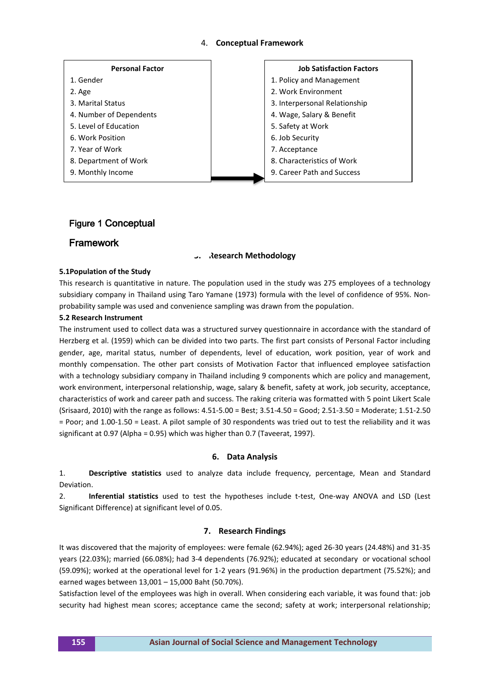### 4. **Conceptual Framework**



## Figure 1 Conceptual

## Framework

#### **5. Research Methodology**

#### **5.1Population of the Study**

This research is quantitative in nature. The population used in the study was 275 employees of a technology subsidiary company in Thailand using Taro Yamane (1973) formula with the level of confidence of 95%. Nonprobability sample was used and convenience sampling was drawn from the population.

#### **5.2 Research Instrument**

The instrument used to collect data was a structured survey questionnaire in accordance with the standard of Herzberg et al. (1959) which can be divided into two parts. The first part consists of Personal Factor including gender, age, marital status, number of dependents, level of education, work position, year of work and monthly compensation. The other part consists of Motivation Factor that influenced employee satisfaction with a technology subsidiary company in Thailand including 9 components which are policy and management, work environment, interpersonal relationship, wage, salary & benefit, safety at work, job security, acceptance, characteristics of work and career path and success. The raking criteria was formatted with 5 point Likert Scale (Srisaard, 2010) with the range as follows: 4.51-5.00 = Best; 3.51-4.50 = Good; 2.51-3.50 = Moderate; 1.51-2.50 = Poor; and 1.00-1.50 = Least. A pilot sample of 30 respondents was tried out to test the reliability and it was significant at 0.97 (Alpha = 0.95) which was higher than 0.7 (Taveerat, 1997).

#### **6. Data Analysis**

1. **Descriptive statistics** used to analyze data include frequency, percentage, Mean and Standard Deviation.

2. **Inferential statistics** used to test the hypotheses include t-test, One-way ANOVA and LSD (Lest Significant Difference) at significant level of 0.05.

#### **7. Research Findings**

It was discovered that the majority of employees: were female (62.94%); aged 26-30 years (24.48%) and 31-35 years (22.03%); married (66.08%); had 3-4 dependents (76.92%); educated at secondary or vocational school (59.09%); worked at the operational level for 1-2 years (91.96%) in the production department (75.52%); and earned wages between 13,001 – 15,000 Baht (50.70%).

Satisfaction level of the employees was high in overall. When considering each variable, it was found that: job security had highest mean scores; acceptance came the second; safety at work; interpersonal relationship;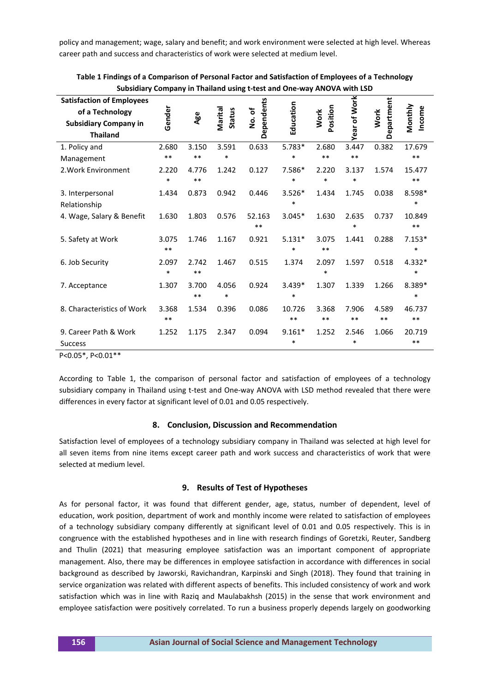policy and management; wage, salary and benefit; and work environment were selected at high level. Whereas career path and success and characteristics of work were selected at medium level.

| Subsidiary Company in Thailand using t-test and One-way ANOVA with LSD |        |       |                          |                     |           |                         |              |             |                   |
|------------------------------------------------------------------------|--------|-------|--------------------------|---------------------|-----------|-------------------------|--------------|-------------|-------------------|
| <b>Satisfaction of Employees</b><br>of a Technology                    |        |       |                          |                     |           |                         | Year of Work | Department  |                   |
| <b>Subsidiary Company in</b>                                           | Gender | Age   | Marital<br><b>Status</b> | Dependents<br>No.of | Education | Position<br><b>Work</b> |              | <b>Work</b> | Monthly<br>Income |
| <b>Thailand</b>                                                        |        |       |                          |                     |           |                         |              |             |                   |
| 1. Policy and                                                          | 2.680  | 3.150 | 3.591                    | 0.633               | $5.783*$  | 2.680                   | 3.447        | 0.382       | 17.679            |
| Management                                                             | $***$  | $***$ | $\ast$                   |                     | *         | $***$                   | $***$        |             | $***$             |
| 2. Work Environment                                                    | 2.220  | 4.776 | 1.242                    | 0.127               | 7.586*    | 2.220                   | 3.137        | 1.574       | 15.477            |
|                                                                        | $\ast$ | $***$ |                          |                     | $\ast$    | $\ast$                  | $\ast$       |             | $***$             |
| 3. Interpersonal                                                       | 1.434  | 0.873 | 0.942                    | 0.446               | $3.526*$  | 1.434                   | 1.745        | 0.038       | 8.598*            |
| Relationship                                                           |        |       |                          |                     | $\ast$    |                         |              |             | $\ast$            |
| 4. Wage, Salary & Benefit                                              | 1.630  | 1.803 | 0.576                    | 52.163              | $3.045*$  | 1.630                   | 2.635        | 0.737       | 10.849            |
|                                                                        |        |       |                          | $***$               |           |                         | $\ast$       |             | $***$             |
| 5. Safety at Work                                                      | 3.075  | 1.746 | 1.167                    | 0.921               | $5.131*$  | 3.075                   | 1.441        | 0.288       | $7.153*$          |
|                                                                        | $***$  |       |                          |                     | $\ast$    | $***$                   |              |             | $\ast$            |
| 6. Job Security                                                        | 2.097  | 2.742 | 1.467                    | 0.515               | 1.374     | 2.097                   | 1.597        | 0.518       | 4.332*            |
|                                                                        | $\ast$ | $***$ |                          |                     |           | $\ast$                  |              |             | $\ast$            |
| 7. Acceptance                                                          | 1.307  | 3.700 | 4.056                    | 0.924               | $3.439*$  | 1.307                   | 1.339        | 1.266       | 8.389*            |
|                                                                        |        | $**$  | $\ast$                   |                     | $\ast$    |                         |              |             | $\ast$            |
| 8. Characteristics of Work                                             | 3.368  | 1.534 | 0.396                    | 0.086               | 10.726    | 3.368                   | 7.906        | 4.589       | 46.737            |
|                                                                        | $***$  |       |                          |                     | **        | $***$                   | $***$        | $***$       | $***$             |
| 9. Career Path & Work                                                  | 1.252  | 1.175 | 2.347                    | 0.094               | $9.161*$  | 1.252                   | 2.546        | 1.066       | 20.719            |
| <b>Success</b>                                                         |        |       |                          |                     | $\ast$    |                         | $\ast$       |             | $***$             |
| P<0.05*, P<0.01**                                                      |        |       |                          |                     |           |                         |              |             |                   |

**Table 1 Findings of a Comparison of Personal Factor and Satisfaction of Employees of a Technology Subsidiary Company in Thailand using t-test and One-way ANOVA with LSD**

According to Table 1, the comparison of personal factor and satisfaction of employees of a technology subsidiary company in Thailand using t-test and One-way ANOVA with LSD method revealed that there were differences in every factor at significant level of 0.01 and 0.05 respectively.

## **8. Conclusion, Discussion and Recommendation**

Satisfaction level of employees of a technology subsidiary company in Thailand was selected at high level for all seven items from nine items except career path and work success and characteristics of work that were selected at medium level.

# **9. Results of Test of Hypotheses**

As for personal factor, it was found that different gender, age, status, number of dependent, level of education, work position, department of work and monthly income were related to satisfaction of employees of a technology subsidiary company differently at significant level of 0.01 and 0.05 respectively. This is in congruence with the established hypotheses and in line with research findings of Goretzki, Reuter, Sandberg and Thulin (2021) that measuring employee satisfaction was an important component of appropriate management. Also, there may be differences in employee satisfaction in accordance with differences in social background as described by Jaworski, Ravichandran, Karpinski and Singh (2018). They found that training in service organization was related with different aspects of benefits. This included consistency of work and work satisfaction which was in line with Raziq and Maulabakhsh (2015) in the sense that work environment and employee satisfaction were positively correlated. To run a business properly depends largely on goodworking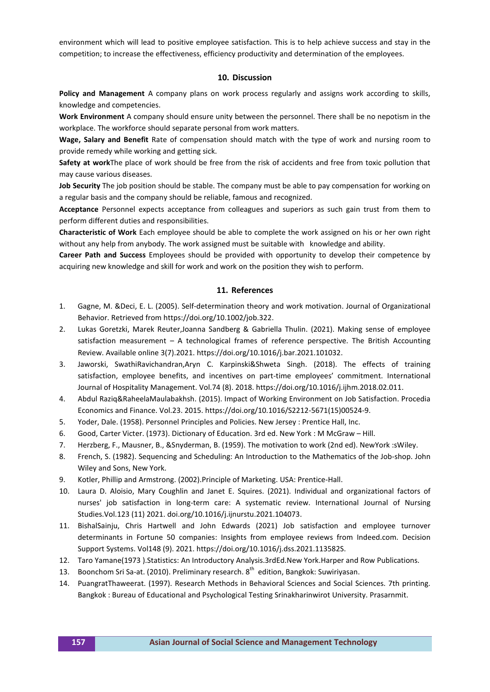environment which will lead to positive employee satisfaction. This is to help achieve success and stay in the competition; to increase the effectiveness, efficiency productivity and determination of the employees.

#### **10. Discussion**

**Policy and Management** A company plans on work process regularly and assigns work according to skills, knowledge and competencies.

**Work Environment** A company should ensure unity between the personnel. There shall be no nepotism in the workplace. The workforce should separate personal from work matters.

**Wage, Salary and Benefit** Rate of compensation should match with the type of work and nursing room to provide remedy while working and getting sick.

**Safety at work**The place of work should be free from the risk of accidents and free from toxic pollution that may cause various diseases.

**Job Security** The job position should be stable. The company must be able to pay compensation for working on a regular basis and the company should be reliable, famous and recognized.

**Acceptance** Personnel expects acceptance from colleagues and superiors as such gain trust from them to perform different duties and responsibilities.

**Characteristic of Work** Each employee should be able to complete the work assigned on his or her own right without any help from anybody. The work assigned must be suitable with knowledge and ability.

**Career Path and Success** Employees should be provided with opportunity to develop their competence by acquiring new knowledge and skill for work and work on the position they wish to perform.

#### **11. References**

- 1. Gagne, M. &Deci, E. L. (2005). Self‐determination theory and work motivation. Journal of Organizational Behavior. Retrieved from https://doi.org/10.1002/job.322.
- 2. Lukas Goretzki, Marek Reuter,Joanna Sandberg & Gabriella Thulin. (2021). Making sense of employee satisfaction measurement – A technological frames of reference perspective. The British Accounting Review. Available online 3(7).2021. [https://doi.org/10.1016/j.bar.2021.101032.](https://doi.org/10.1016/j.bar.2021.101032)
- 3. Jaworski, SwathiRavichandran,Aryn C. Karpinski&Shweta Singh. (2018). The effects of training satisfaction, employee benefits, and incentives on part-time employees' commitment. International Journal of Hospitality Management. Vol.74 (8). 2018. https://doi.org/10.1016/j.ijhm.2018.02.011.
- 4. Abdul Raziq&RaheelaMaulabakhsh. (2015). Impact of Working Environment on Job Satisfaction. Procedia Economics and Finance. Vol.23. 2015. https://doi.org/10.1016/S2212-5671(15)00524-9.
- 5. Yoder, Dale. (1958). Personnel Principles and Policies. New Jersey : Prentice Hall, Inc.
- 6. Good, Carter Victer. (1973). Dictionary of Education. 3rd ed. New York : M McGraw Hill.
- 7. Herzberg, F., Mausner, B., &Snyderman, B. (1959). The motivation to work (2nd ed). NewYork :sWiley.
- 8. French, S. (1982). Sequencing and Scheduling: An Introduction to the Mathematics of the Job-shop. John Wiley and Sons, New York.
- 9. Kotler, Phillip and Armstrong. (2002).Principle of Marketing. USA: Prentice-Hall.
- 10. Laura D. Aloisio, Mary Coughlin and Janet E. Squires. (2021). Individual and organizational factors of nurses' job satisfaction in long-term care: A systematic review. International Journal of Nursing Studies.Vol.123 (11) 2021. doi.org/10.1016/j.ijnurstu.2021.104073.
- 11. BishalSainju, Chris Hartwell and John Edwards (2021) Job satisfaction and employee turnover determinants in Fortune 50 companies: Insights from employee reviews from Indeed.com. Decision Support Systems. Vol148 (9). 2021. [https://doi.org/10.1016/j.dss.2021.113582S.](https://doi.org/10.1016/j.dss.2021.113582S)
- 12. Taro Yamane(1973 ).Statistics: An Introductory Analysis.3rdEd.New York.Harper and Row Publications.
- 13. Boonchom Sri Sa-at. (2010). Preliminary research. 8<sup>th</sup> edition, Bangkok: Suwiriyasan.
- 14. PuangratThaweerat. (1997). Research Methods in Behavioral Sciences and Social Sciences. 7th printing. Bangkok : Bureau of Educational and Psychological Testing Srinakharinwirot University. Prasarnmit.